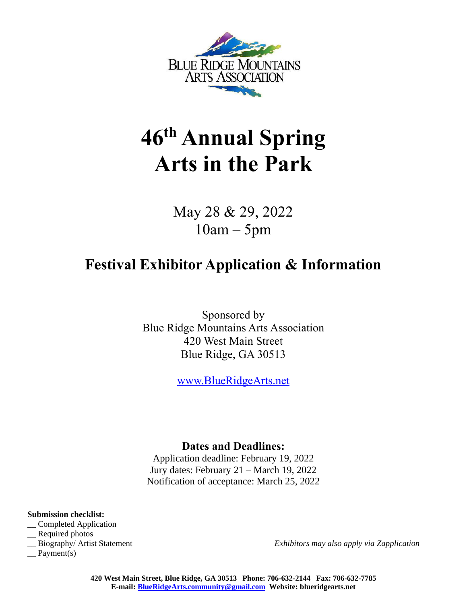

# **46 th Annual Spring Arts in the Park**

May 28 & 29, 2022 10am – 5pm

## **Festival Exhibitor Application & Information**

Sponsored by Blue Ridge Mountains Arts Association 420 West Main Street Blue Ridge, GA 30513

[www.BlueRidgeArts.net](http://www.blueridgearts.net/)

#### **Dates and Deadlines:**

Application deadline: February 19, 2022 Jury dates: February 21 – March 19, 2022 Notification of acceptance: March 25, 2022

**Submission checklist:**

- **\_\_** Completed Application
- \_\_ Required photos
- 

 $\equiv$  Payment(s)

\_\_ Biography/ Artist Statement *Exhibitors may also apply via Zapplication*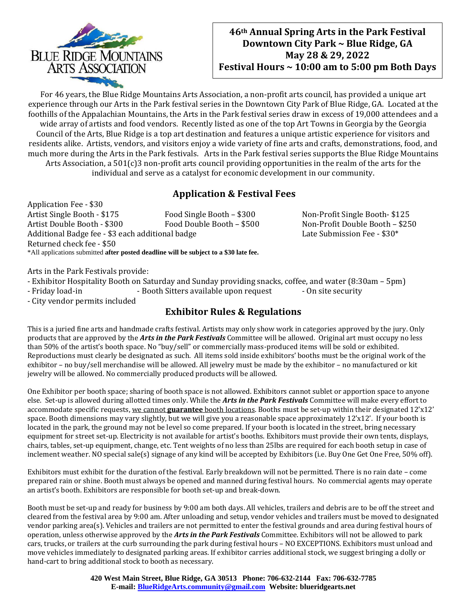

#### **46th Annual Spring Arts in the Park Festival Downtown City Park ~ Blue Ridge, GA May 28 & 29, 2022 Festival Hours ~ 10:00 am to 5:00 pm Both Days**

For 46 years, the Blue Ridge Mountains Arts Association, a non-profit arts council, has provided a unique art experience through our Arts in the Park festival series in the Downtown City Park of Blue Ridge, GA. Located at the foothills of the Appalachian Mountains, the Arts in the Park festival series draw in excess of 19,000 attendees and a wide array of artists and food vendors. Recently listed as one of the top Art Towns in Georgia by the Georgia Council of the Arts, Blue Ridge is a top art destination and features a unique artistic experience for visitors and residents alike. Artists, vendors, and visitors enjoy a wide variety of fine arts and crafts, demonstrations, food, and much more during the Arts in the Park festivals. Arts in the Park festival series supports the Blue Ridge Mountains Arts Association, a 501(c)3 non-profit arts council providing opportunities in the realm of the arts for the individual and serve as a catalyst for economic development in our community.

### **Application & Festival Fees**

Application Fee - \$30 Artist Single Booth - \$175 Food Single Booth – \$300 Non-Profit Single Booth- \$125 Artist Double Booth - \$300 Food Double Booth – \$500 Non-Profit Double Booth – \$250 Additional Badge fee - \$3 each additional badge Late Submission Fee - \$30\* Returned check fee - \$50 \*All applications submitted **after posted deadline will be subject to a \$30 late fee.**

Arts in the Park Festivals provide:

- Exhibitor Hospitality Booth on Saturday and Sunday providing snacks, coffee, and water (8:30am – 5pm)

- Friday load-in - Booth Sitters available upon request - On site security

- City vendor permits included

#### **Exhibitor Rules & Regulations**

This is a juried fine arts and handmade crafts festival. Artists may only show work in categories approved by the jury. Only products that are approved by the *Arts in the Park Festivals* Committee will be allowed. Original art must occupy no less than 50% of the artist's booth space. No "buy/sell" or commercially mass-produced items will be sold or exhibited. Reproductions must clearly be designated as such. All items sold inside exhibitors' booths must be the original work of the exhibitor – no buy/sell merchandise will be allowed. All jewelry must be made by the exhibitor – no manufactured or kit jewelry will be allowed. No commercially produced products will be allowed.

One Exhibitor per booth space; sharing of booth space is not allowed. Exhibitors cannot sublet or apportion space to anyone else. Set-up is allowed during allotted times only. While the *Arts in the Park Festivals* Committee will make every effort to accommodate specific requests, we cannot **guarantee** booth locations. Booths must be set-up within their designated 12'x12' space. Booth dimensions may vary slightly, but we will give you a reasonable space approximately 12'x12'. If your booth is located in the park, the ground may not be level so come prepared. If your booth is located in the street, bring necessary equipment for street set-up. Electricity is not available for artist's booths. Exhibitors must provide their own tents, displays, chairs, tables, set-up equipment, change, etc. Tent weights of no less than 25lbs are required for each booth setup in case of inclement weather. NO special sale(s) signage of any kind will be accepted by Exhibitors (i.e. Buy One Get One Free, 50% off).

Exhibitors must exhibit for the duration of the festival. Early breakdown will not be permitted. There is no rain date – come prepared rain or shine. Booth must always be opened and manned during festival hours. No commercial agents may operate an artist's booth. Exhibitors are responsible for booth set-up and break-down.

Booth must be set-up and ready for business by 9:00 am both days. All vehicles, trailers and debris are to be off the street and cleared from the festival area by 9:00 am. After unloading and setup, vendor vehicles and trailers must be moved to designated vendor parking area(s). Vehicles and trailers are not permitted to enter the festival grounds and area during festival hours of operation, unless otherwise approved by the *Arts in the Park Festivals* Committee. Exhibitors will not be allowed to park cars, trucks, or trailers at the curb surrounding the park during festival hours – NO EXCEPTIONS. Exhibitors must unload and move vehicles immediately to designated parking areas. If exhibitor carries additional stock, we suggest bringing a dolly or hand-cart to bring additional stock to booth as necessary.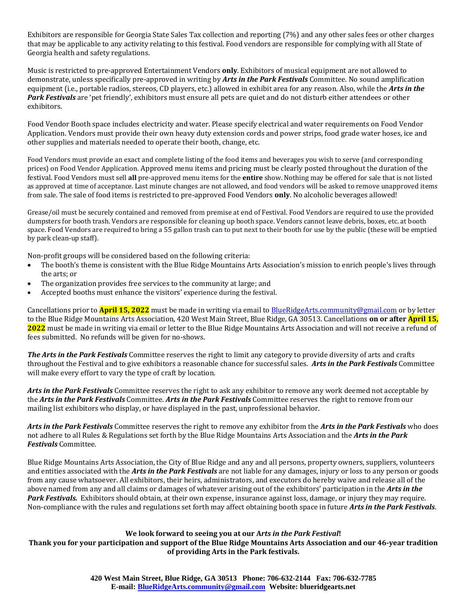Exhibitors are responsible for Georgia State Sales Tax collection and reporting (7%) and any other sales fees or other charges that may be applicable to any activity relating to this festival. Food vendors are responsible for complying with all State of Georgia health and safety regulations.

Music is restricted to pre-approved Entertainment Vendors **only**. Exhibitors of musical equipment are not allowed to demonstrate, unless specifically pre-approved in writing by *Arts in the Park Festivals* Committee. No sound amplification equipment (i.e., portable radios, stereos, CD players, etc.) allowed in exhibit area for any reason. Also, while the *Arts in the Park Festivals* are 'pet friendly', exhibitors must ensure all pets are quiet and do not disturb either attendees or other exhibitors.

Food Vendor Booth space includes electricity and water. Please specify electrical and water requirements on Food Vendor Application. Vendors must provide their own heavy duty extension cords and power strips, food grade water hoses, ice and other supplies and materials needed to operate their booth, change, etc.

Food Vendors must provide an exact and complete listing of the food items and beverages you wish to serve (and corresponding prices) on Food Vendor Application. Approved menu items and pricing must be clearly posted throughout the duration of the festival. Food Vendors must sell **all** pre-approved menu items for the **entire** show. Nothing may be offered for sale that is not listed as approved at time of acceptance. Last minute changes are not allowed, and food vendors will be asked to remove unapproved items from sale. The sale of food items is restricted to pre-approved Food Vendors **only**. No alcoholic beverages allowed!

Grease/oil must be securely contained and removed from premise at end of Festival. Food Vendors are required to use the provided dumpsters for booth trash. Vendors are responsible for cleaning up booth space. Vendors cannot leave debris, boxes, etc. at booth space. Food Vendors are required to bring a 55 gallon trash can to put next to their booth for use by the public (these will be emptied by park clean-up staff).

Non-profit groups will be considered based on the following criteria:

- The booth's theme is consistent with the Blue Ridge Mountains Arts Association's mission to enrich people's lives through the arts; or
- The organization provides free services to the community at large; and
- Accepted booths must enhance the visitors' experience during the festival.

Cancellations prior to **April 15, 2022** must be made in writing via email to [BlueRidgeArts.community@gmail.com](mailto:BlueRidgeArts.community@gmail.com) or by letter to the Blue Ridge Mountains Arts Association, 420 West Main Street, Blue Ridge, GA 30513. Cancellations **on or after April 15, 2022** must be made in writing via email or letter to the Blue Ridge Mountains Arts Association and will not receive a refund of fees submitted. No refunds will be given for no-shows.

*The Arts in the Park Festivals* Committee reserves the right to limit any category to provide diversity of arts and crafts throughout the Festival and to give exhibitors a reasonable chance for successful sales. *Arts in the Park Festivals* Committee will make every effort to vary the type of craft by location.

*Arts in the Park Festivals* Committee reserves the right to ask any exhibitor to remove any work deemed not acceptable by the *Arts in the Park Festivals* Committee. *Arts in the Park Festivals* Committee reserves the right to remove from our mailing list exhibitors who display, or have displayed in the past, unprofessional behavior.

*Arts in the Park Festivals* Committee reserves the right to remove any exhibitor from the *Arts in the Park Festivals* who does not adhere to all Rules & Regulations set forth by the Blue Ridge Mountains Arts Association and the *Arts in the Park Festivals* Committee.

Blue Ridge Mountains Arts Association, the City of Blue Ridge and any and all persons, property owners, suppliers, volunteers and entities associated with the *Arts in the Park Festivals* are not liable for any damages, injury or loss to any person or goods from any cause whatsoever. All exhibitors, their heirs, administrators, and executors do hereby waive and release all of the above named from any and all claims or damages of whatever arising out of the exhibitors' participation in the *Arts in the Park Festivals.* Exhibitors should obtain, at their own expense, insurance against loss, damage, or injury they may require. Non-compliance with the rules and regulations set forth may affect obtaining booth space in future *Arts in the Park Festivals*.

#### **We look forward to seeing you at our A***rts in the Park Festival***!**

**Thank you for your participation and support of the Blue Ridge Mountains Arts Association and our 46-year tradition of providing Arts in the Park festivals.**

> **420 West Main Street, Blue Ridge, GA 30513 Phone: 706-632-2144 Fax: 706-632-7785 E-mail: [BlueRidgeArts.community@gmail.com](mailto:BlueRidgeArts.community@gmail.com) Website: blueridgearts.net**